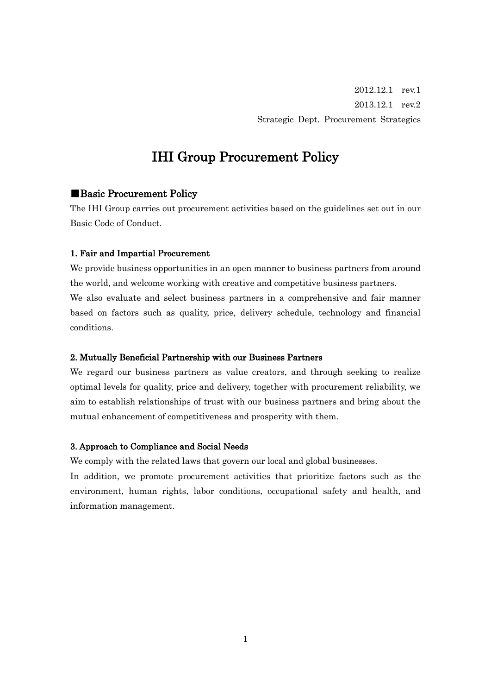2012.12.1 rev.1 2013.12.1 rev.2 Strategic Dept. Procurement Strategics

# IHI Group Procurement Policy

# ■Basic Procurement Policy

The IHI Group carries out procurement activities based on the guidelines set out in our Basic Code of Conduct.

### 1. Fair and Impartial Procurement

We provide business opportunities in an open manner to business partners from around the world, and welcome working with creative and competitive business partners. We also evaluate and select business partners in a comprehensive and fair manner based on factors such as quality, price, delivery schedule, technology and financial conditions.

# 2. Mutually Beneficial Partnership with our Business Partners

We regard our business partners as value creators, and through seeking to realize optimal levels for quality, price and delivery, together with procurement reliability, we aim to establish relationships of trust with our business partners and bring about the mutual enhancement of competitiveness and prosperity with them.

### 3. Approach to Compliance and Social Needs

We comply with the related laws that govern our local and global businesses.

In addition, we promote procurement activities that prioritize factors such as the environment, human rights, labor conditions, occupational safety and health, and information management.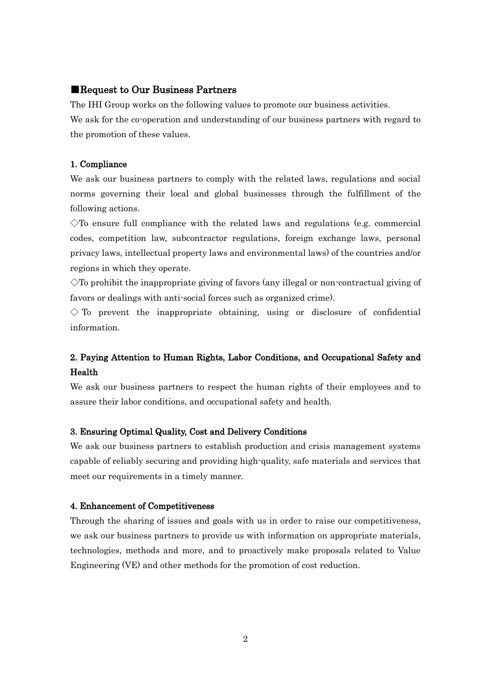# ■Request to Our Business Partners

The IHI Group works on the following values to promote our business activities. We ask for the co-operation and understanding of our business partners with regard to the promotion of these values.

### 1. Compliance

We ask our business partners to comply with the related laws, regulations and social norms governing their local and global businesses through the fulfillment of the following actions.

 $\Diamond$ To ensure full compliance with the related laws and regulations (e.g. commercial codes, competition law, subcontractor regulations, foreign exchange laws, personal privacy laws, intellectual property laws and environmental laws) of the countries and/or regions in which they operate.

 $\Diamond$ To prohibit the inappropriate giving of favors (any illegal or non-contractual giving of favors or dealings with anti-social forces such as organized crime).

 $\Diamond$  To prevent the inappropriate obtaining, using or disclosure of confidential information.

# 2. Paying Attention to Human Rights, Labor Conditions, and Occupational Safety and Health

We ask our business partners to respect the human rights of their employees and to assure their labor conditions, and occupational safety and health.

### 3. Ensuring Optimal Quality, Cost and Delivery Conditions

We ask our business partners to establish production and crisis management systems capable of reliably securing and providing high-quality, safe materials and services that meet our requirements in a timely manner.

### 4. Enhancement of Competitiveness

Through the sharing of issues and goals with us in order to raise our competitiveness, we ask our business partners to provide us with information on appropriate materials, technologies, methods and more, and to proactively make proposals related to Value Engineering (VE) and other methods for the promotion of cost reduction.